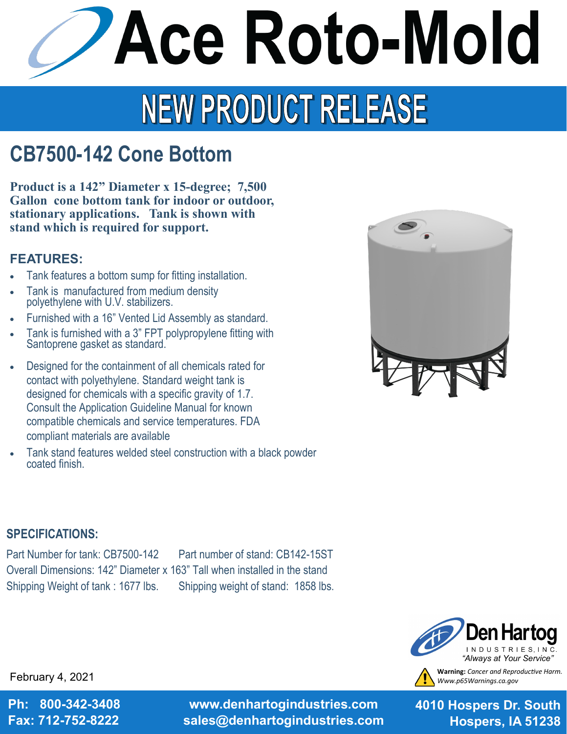**Ace Roto-Mold** 

## NEW PRODUCT RELEASE

## **CB7500-142 Cone Bottom**

**Product is a 142" Diameter x 15-degree; 7,500 Gallon cone bottom tank for indoor or outdoor, stationary applications. Tank is shown with stand which is required for support.**

## **FEATURES:**

- Tank features a bottom sump for fitting installation.
- Tank is manufactured from medium density polyethylene with U.V. stabilizers.
- Furnished with a 16" Vented Lid Assembly as standard.
- Tank is furnished with a 3" FPT polypropylene fitting with Santoprene gasket as standard.
- Designed for the containment of all chemicals rated for contact with polyethylene. Standard weight tank is designed for chemicals with a specific gravity of 1.7. Consult the Application Guideline Manual for known compatible chemicals and service temperatures. FDA compliant materials are available
- Tank stand features welded steel construction with a black powder coated finish.



## **SPECIFICATIONS:**

Part Number for tank: CB7500-142 Part number of stand: CB142-15ST Overall Dimensions: 142" Diameter x 163" Tall when installed in the stand Shipping Weight of tank : 1677 lbs. Shipping weight of stand: 1858 lbs.



**February 4, 2021 Warning:** *Cancer and Reproductive Harm.* **Cancer and Reproductive Harm. Productive Harm. Productive Harm. Productive Harm. Productive Agencies Productive Agencies Productive Agencies Prod** 

**4010 Hospers Dr. South Hospers, IA 51238**

**Ph: 800-342-3408 Fax: 712-752-8222**

**www.denhartogindustries.com sales@denhartogindustries.com**